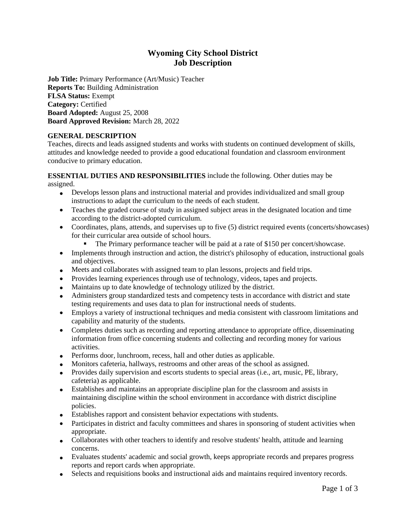# **Wyoming City School District Job Description**

**Job Title:** Primary Performance (Art/Music) Teacher **Reports To:** Building Administration **FLSA Status:** Exempt **Category:** Certified **Board Adopted:** August 25, 2008 **Board Approved Revision:** March 28, 2022

### **GENERAL DESCRIPTION**

Teaches, directs and leads assigned students and works with students on continued development of skills, attitudes and knowledge needed to provide a good educational foundation and classroom environment conducive to primary education.

### **ESSENTIAL DUTIES AND RESPONSIBILITIES** include the following. Other duties may be assigned.

- Develops lesson plans and instructional material and provides individualized and small group instructions to adapt the curriculum to the needs of each student.
- Teaches the graded course of study in assigned subject areas in the designated location and time according to the district-adopted curriculum.
- Coordinates, plans, attends, and supervises up to five (5) district required events (concerts/showcases) for their curricular area outside of school hours.
	- The Primary performance teacher will be paid at a rate of \$150 per concert/showcase.
- Implements through instruction and action, the district's philosophy of education, instructional goals and objectives.
- Meets and collaborates with assigned team to plan lessons, projects and field trips.
- Provides learning experiences through use of technology, videos, tapes and projects.
- Maintains up to date knowledge of technology utilized by the district.
- Administers group standardized tests and competency tests in accordance with district and state testing requirements and uses data to plan for instructional needs of students.
- Employs a variety of instructional techniques and media consistent with classroom limitations and capability and maturity of the students.
- Completes duties such as recording and reporting attendance to appropriate office, disseminating information from office concerning students and collecting and recording money for various activities.
- Performs door, lunchroom, recess, hall and other duties as applicable.
- Monitors cafeteria, hallways, restrooms and other areas of the school as assigned.
- Provides daily supervision and escorts students to special areas (i.e., art, music, PE, library, cafeteria) as applicable.
- Establishes and maintains an appropriate discipline plan for the classroom and assists in maintaining discipline within the school environment in accordance with district discipline policies.
- Establishes rapport and consistent behavior expectations with students.
- Participates in district and faculty committees and shares in sponsoring of student activities when appropriate.
- Collaborates with other teachers to identify and resolve students' health, attitude and learning concerns.
- Evaluates students' academic and social growth, keeps appropriate records and prepares progress reports and report cards when appropriate.
- Selects and requisitions books and instructional aids and maintains required inventory records.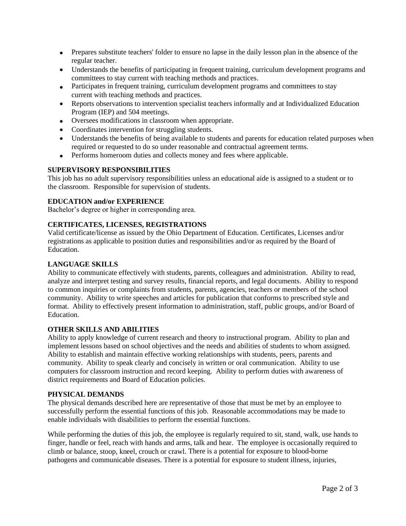- Prepares substitute teachers' folder to ensure no lapse in the daily lesson plan in the absence of the regular teacher.
- Understands the benefits of participating in frequent training, curriculum development programs and committees to stay current with teaching methods and practices.
- Participates in frequent training, curriculum development programs and committees to stay current with teaching methods and practices.
- Reports observations to intervention specialist teachers informally and at Individualized Education Program (IEP) and 504 meetings.
- Oversees modifications in classroom when appropriate.
- Coordinates intervention for struggling students.
- Understands the benefits of being available to students and parents for education related purposes when required or requested to do so under reasonable and contractual agreement terms.
- Performs homeroom duties and collects money and fees where applicable.

### **SUPERVISORY RESPONSIBILITIES**

This job has no adult supervisory responsibilities unless an educational aide is assigned to a student or to the classroom. Responsible for supervision of students.

## **EDUCATION and/or EXPERIENCE**

Bachelor's degree or higher in corresponding area.

## **CERTIFICATES, LICENSES, REGISTRATIONS**

Valid certificate/license as issued by the Ohio Department of Education. Certificates, Licenses and/or registrations as applicable to position duties and responsibilities and/or as required by the Board of Education.

### **LANGUAGE SKILLS**

Ability to communicate effectively with students, parents, colleagues and administration. Ability to read, analyze and interpret testing and survey results, financial reports, and legal documents. Ability to respond to common inquiries or complaints from students, parents, agencies, teachers or members of the school community. Ability to write speeches and articles for publication that conforms to prescribed style and format. Ability to effectively present information to administration, staff, public groups, and/or Board of Education.

### **OTHER SKILLS AND ABILITIES**

Ability to apply knowledge of current research and theory to instructional program. Ability to plan and implement lessons based on school objectives and the needs and abilities of students to whom assigned. Ability to establish and maintain effective working relationships with students, peers, parents and community. Ability to speak clearly and concisely in written or oral communication. Ability to use computers for classroom instruction and record keeping. Ability to perform duties with awareness of district requirements and Board of Education policies.

#### **PHYSICAL DEMANDS**

The physical demands described here are representative of those that must be met by an employee to successfully perform the essential functions of this job. Reasonable accommodations may be made to enable individuals with disabilities to perform the essential functions.

While performing the duties of this job, the employee is regularly required to sit, stand, walk, use hands to finger, handle or feel, reach with hands and arms, talk and hear. The employee is occasionally required to climb or balance, stoop, kneel, crouch or crawl. There is a potential for exposure to blood-borne pathogens and communicable diseases. There is a potential for exposure to student illness, injuries,